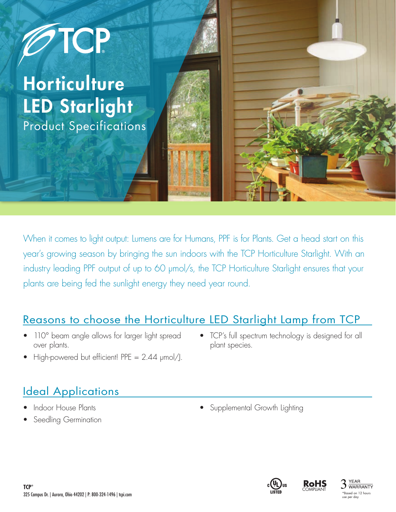

When it comes to light output: Lumens are for Humans, PPF is for Plants. Get a head start on this year's growing season by bringing the sun indoors with the TCP Horticulture Starlight. With an industry leading PPF output of up to 60 μmol/s, the TCP Horticulture Starlight ensures that your plants are being fed the sunlight energy they need year round.

#### Reasons to choose the Horticulture LED Starlight Lamp from TCP

- 110° beam angle allows for larger light spread over plants.
- TCP's full spectrum technology is designed for all plant species.
- High-powered but efficient! PPE = 2.44 μmol/J.

#### **Ideal Applications**

- Indoor House Plants
- Seedling Germination
- 
- Supplemental Growth Lighting